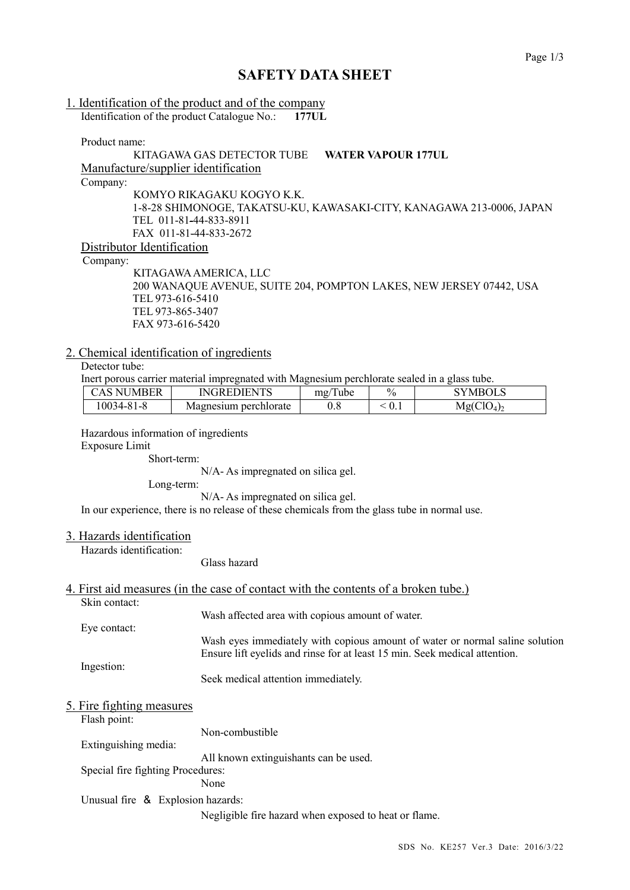# **SAFETY DATA SHEET**

### 1. Identification of the product and of the company Identification of the product Catalogue No.: **177UL**

Product name:

## KITAGAWA GAS DETECTOR TUBE **WATER VAPOUR 177UL** Manufacture/supplier identification Company: KOMYO RIKAGAKU KOGYO K.K. 1-8-28 SHIMONOGE, TAKATSU-KU, KAWASAKI-CITY, KANAGAWA 213-0006, JAPAN TEL 011-81-44-833-8911 FAX 011-81-44-833-2672 Distributor Identification

Company:

KITAGAWAAMERICA, LLC 200 WANAQUE AVENUE, SUITE 204, POMPTON LAKES, NEW JERSEY 07442, USA TEL 973-616-5410 TEL 973-865-3407 FAX 973-616-5420

## 2. Chemical identification of ingredients

Detector tube:

Inert porous carrier material impregnated with Magnesium perchlorate sealed in a glass tube.

| CAS NUMBER | <b>INGREDIENTS</b>    | mg/lube | $\frac{0}{0}$ | <b>SYMBOLS</b>                     |
|------------|-----------------------|---------|---------------|------------------------------------|
| 10034-81-8 | Magnesium perchiorate |         | U.1           | Mg(CIO <sub>4</sub> ) <sub>2</sub> |

Hazardous information of ingredients Exposure Limit

Short-term:

N/A- As impregnated on silica gel.

Long-term:

N/A- As impregnated on silica gel.

In our experience, there is no release of these chemicals from the glass tube in normal use.

## 3. Hazards identification

Hazards identification:

Glass hazard

## 4. First aid measures (in the case of contact with the contents of a broken tube.)

Skin contact:

Eye contact: Wash eyes immediately with copious amount of water or normal saline solution Ensure lift eyelids and rinse for at least 15 min. Seek medical attention.

Wash affected area with copious amount of water.

Ingestion:

Seek medical attention immediately.

### 5. Fire fighting measures

Flash point:

Extinguishing media:

All known extinguishants can be used.

Non-combustible

Special fire fighting Procedures:

None

Unusual fire & Explosion hazards:

Negligible fire hazard when exposed to heat or flame.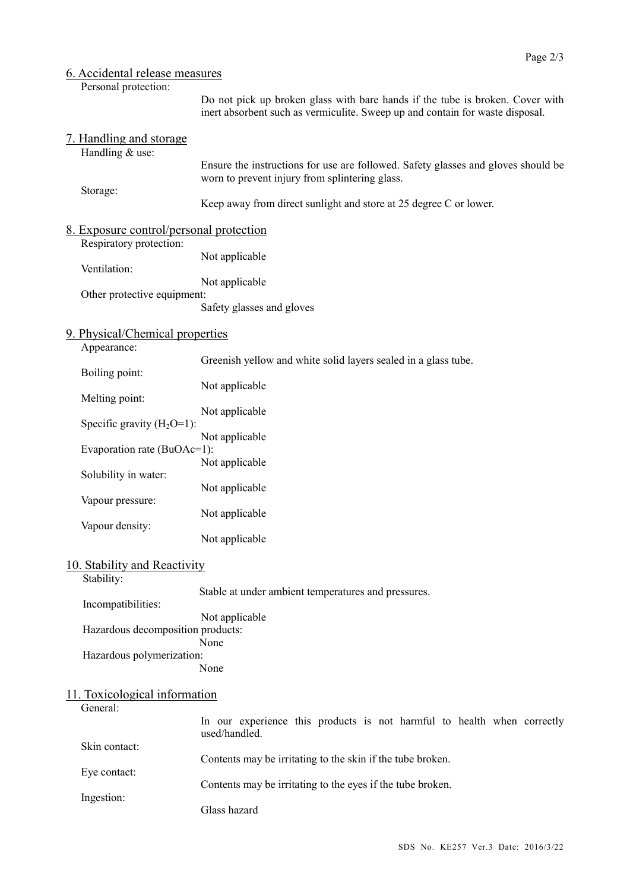## 6. Accidental release measures

Personal protection:

Do not pick up broken glass with bare hands if the tube is broken. Cover with inert absorbent such as vermiculite. Sweep up and contain for waste disposal.

|  | 7. Handling and storage<br>Handling & use:                         |                                                                                                                                     |
|--|--------------------------------------------------------------------|-------------------------------------------------------------------------------------------------------------------------------------|
|  |                                                                    | Ensure the instructions for use are followed. Safety glasses and gloves should be<br>worn to prevent injury from splintering glass. |
|  | Storage:                                                           | Keep away from direct sunlight and store at 25 degree C or lower.                                                                   |
|  | 8. Exposure control/personal protection<br>Respiratory protection: |                                                                                                                                     |
|  | Ventilation:                                                       | Not applicable                                                                                                                      |
|  | Other protective equipment:                                        | Not applicable<br>Safety glasses and gloves                                                                                         |
|  | 9. Physical/Chemical properties<br>Appearance:                     |                                                                                                                                     |
|  | Boiling point:                                                     | Greenish yellow and white solid layers sealed in a glass tube.                                                                      |
|  | Melting point:                                                     | Not applicable                                                                                                                      |
|  | Specific gravity $(H_2O=1)$ :                                      | Not applicable                                                                                                                      |
|  | Evaporation rate (BuOAc=1):                                        | Not applicable                                                                                                                      |
|  | Solubility in water:                                               | Not applicable                                                                                                                      |
|  | Vapour pressure:                                                   | Not applicable<br>Not applicable                                                                                                    |
|  | Vapour density:                                                    | Not applicable                                                                                                                      |
|  | 10. Stability and Reactivity                                       |                                                                                                                                     |
|  | Stability:<br>Incompatibilities:                                   | Stable at under ambient temperatures and pressures.                                                                                 |
|  | Hazardous decomposition products:                                  | Not applicable<br>None                                                                                                              |
|  | Hazardous polymerization:                                          | None                                                                                                                                |
|  | 11. Toxicological information<br>General:                          |                                                                                                                                     |
|  |                                                                    | In our experience this products is not harmful to health when correctly<br>used/handled.                                            |
|  | Skin contact:                                                      | Contents may be irritating to the skin if the tube broken.                                                                          |
|  | Eye contact:                                                       | Contents may be irritating to the eyes if the tube broken.                                                                          |
|  | Ingestion:                                                         | Glass hazard                                                                                                                        |
|  |                                                                    |                                                                                                                                     |